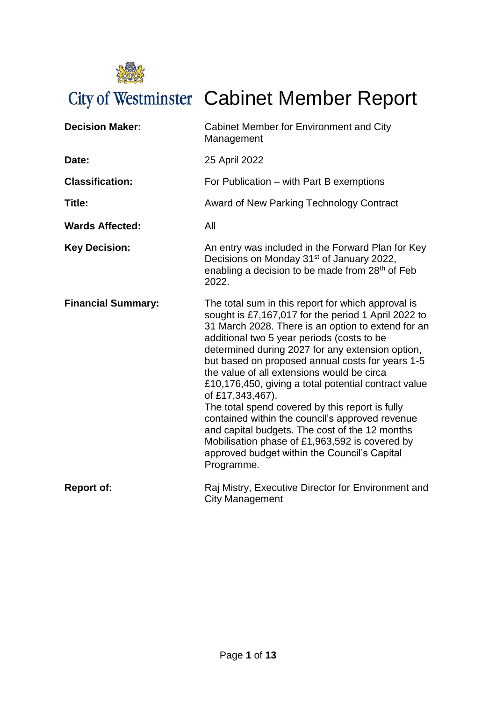

| <b>Decision Maker:</b>    | Cabinet Member for Environment and City<br>Management                                                                                                                                                                                                                                                                                                                                                                                                                                                                                                                                                                                                                                                                   |
|---------------------------|-------------------------------------------------------------------------------------------------------------------------------------------------------------------------------------------------------------------------------------------------------------------------------------------------------------------------------------------------------------------------------------------------------------------------------------------------------------------------------------------------------------------------------------------------------------------------------------------------------------------------------------------------------------------------------------------------------------------------|
| Date:                     | 25 April 2022                                                                                                                                                                                                                                                                                                                                                                                                                                                                                                                                                                                                                                                                                                           |
| <b>Classification:</b>    | For Publication - with Part B exemptions                                                                                                                                                                                                                                                                                                                                                                                                                                                                                                                                                                                                                                                                                |
| Title:                    | Award of New Parking Technology Contract                                                                                                                                                                                                                                                                                                                                                                                                                                                                                                                                                                                                                                                                                |
| <b>Wards Affected:</b>    | All                                                                                                                                                                                                                                                                                                                                                                                                                                                                                                                                                                                                                                                                                                                     |
| <b>Key Decision:</b>      | An entry was included in the Forward Plan for Key<br>Decisions on Monday 31 <sup>st</sup> of January 2022,<br>enabling a decision to be made from 28 <sup>th</sup> of Feb<br>2022.                                                                                                                                                                                                                                                                                                                                                                                                                                                                                                                                      |
| <b>Financial Summary:</b> | The total sum in this report for which approval is<br>sought is £7,167,017 for the period 1 April 2022 to<br>31 March 2028. There is an option to extend for an<br>additional two 5 year periods (costs to be<br>determined during 2027 for any extension option,<br>but based on proposed annual costs for years 1-5<br>the value of all extensions would be circa<br>£10,176,450, giving a total potential contract value<br>of £17,343,467).<br>The total spend covered by this report is fully<br>contained within the council's approved revenue<br>and capital budgets. The cost of the 12 months<br>Mobilisation phase of £1,963,592 is covered by<br>approved budget within the Council's Capital<br>Programme. |
| <b>Report of:</b>         | Raj Mistry, Executive Director for Environment and<br><b>City Management</b>                                                                                                                                                                                                                                                                                                                                                                                                                                                                                                                                                                                                                                            |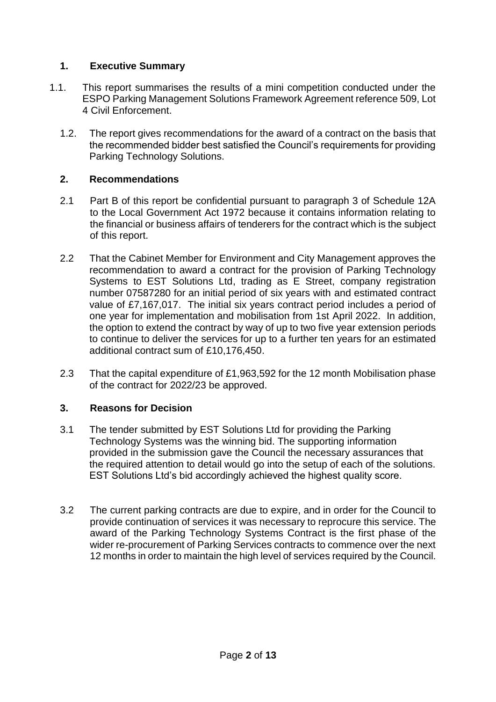## **1. Executive Summary**

- 1.1. This report summarises the results of a mini competition conducted under the ESPO Parking Management Solutions Framework Agreement reference 509, Lot 4 Civil Enforcement.
	- 1.2. The report gives recommendations for the award of a contract on the basis that the recommended bidder best satisfied the Council's requirements for providing Parking Technology Solutions.

## **2. Recommendations**

- 2.1 Part B of this report be confidential pursuant to paragraph 3 of Schedule 12A to the Local Government Act 1972 because it contains information relating to the financial or business affairs of tenderers for the contract which is the subject of this report.
- 2.2 That the Cabinet Member for Environment and City Management approves the recommendation to award a contract for the provision of Parking Technology Systems to EST Solutions Ltd, trading as E Street, company registration number 07587280 for an initial period of six years with and estimated contract value of £7,167,017. The initial six years contract period includes a period of one year for implementation and mobilisation from 1st April 2022. In addition, the option to extend the contract by way of up to two five year extension periods to continue to deliver the services for up to a further ten years for an estimated additional contract sum of £10,176,450.
- 2.3 That the capital expenditure of £1,963,592 for the 12 month Mobilisation phase of the contract for 2022/23 be approved.

## **3. Reasons for Decision**

- 3.1 The tender submitted by EST Solutions Ltd for providing the Parking Technology Systems was the winning bid. The supporting information provided in the submission gave the Council the necessary assurances that the required attention to detail would go into the setup of each of the solutions. EST Solutions Ltd's bid accordingly achieved the highest quality score.
- 3.2 The current parking contracts are due to expire, and in order for the Council to provide continuation of services it was necessary to reprocure this service. The award of the Parking Technology Systems Contract is the first phase of the wider re-procurement of Parking Services contracts to commence over the next 12 months in order to maintain the high level of services required by the Council.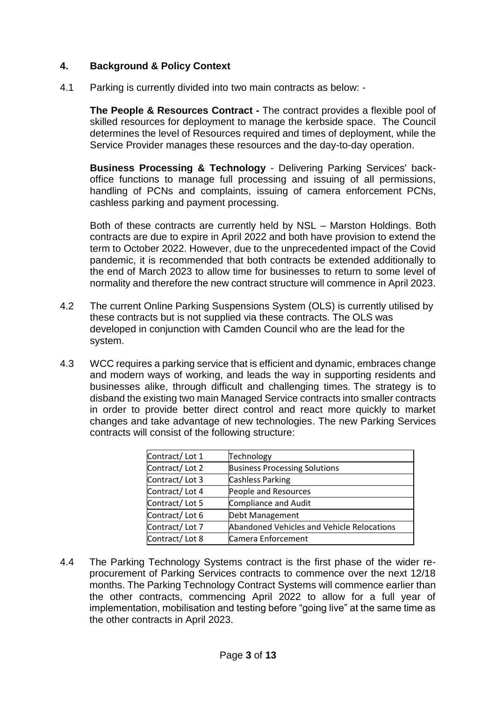## **4. Background & Policy Context**

4.1 Parking is currently divided into two main contracts as below: -

**The People & Resources Contract -** The contract provides a flexible pool of skilled resources for deployment to manage the kerbside space. The Council determines the level of Resources required and times of deployment, while the Service Provider manages these resources and the day-to-day operation.

**Business Processing & Technology** - Delivering Parking Services' backoffice functions to manage full processing and issuing of all permissions, handling of PCNs and complaints, issuing of camera enforcement PCNs, cashless parking and payment processing.

Both of these contracts are currently held by NSL – Marston Holdings. Both contracts are due to expire in April 2022 and both have provision to extend the term to October 2022. However, due to the unprecedented impact of the Covid pandemic, it is recommended that both contracts be extended additionally to the end of March 2023 to allow time for businesses to return to some level of normality and therefore the new contract structure will commence in April 2023.

- 4.2 The current Online Parking Suspensions System (OLS) is currently utilised by these contracts but is not supplied via these contracts. The OLS was developed in conjunction with Camden Council who are the lead for the system.
- 4.3 WCC requires a parking service that is efficient and dynamic, embraces change and modern ways of working, and leads the way in supporting residents and businesses alike, through difficult and challenging times. The strategy is to disband the existing two main Managed Service contracts into smaller contracts in order to provide better direct control and react more quickly to market changes and take advantage of new technologies. The new Parking Services contracts will consist of the following structure:

| Technology                                 |
|--------------------------------------------|
| <b>Business Processing Solutions</b>       |
| <b>Cashless Parking</b>                    |
| People and Resources                       |
| Compliance and Audit                       |
| Debt Management                            |
| Abandoned Vehicles and Vehicle Relocations |
| Camera Enforcement                         |
|                                            |

4.4 The Parking Technology Systems contract is the first phase of the wider reprocurement of Parking Services contracts to commence over the next 12/18 months. The Parking Technology Contract Systems will commence earlier than the other contracts, commencing April 2022 to allow for a full year of implementation, mobilisation and testing before "going live" at the same time as the other contracts in April 2023.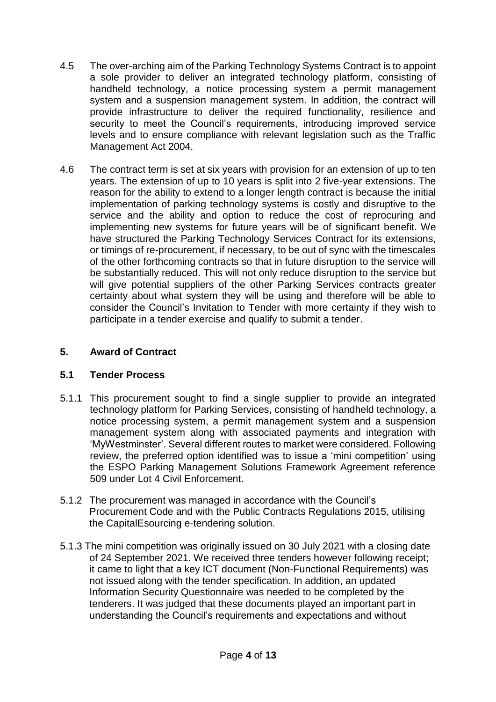- 4.5 The over-arching aim of the Parking Technology Systems Contract is to appoint a sole provider to deliver an integrated technology platform, consisting of handheld technology, a notice processing system a permit management system and a suspension management system. In addition, the contract will provide infrastructure to deliver the required functionality, resilience and security to meet the Council's requirements, introducing improved service levels and to ensure compliance with relevant legislation such as the Traffic Management Act 2004.
- 4.6 The contract term is set at six years with provision for an extension of up to ten years. The extension of up to 10 years is split into 2 five-year extensions. The reason for the ability to extend to a longer length contract is because the initial implementation of parking technology systems is costly and disruptive to the service and the ability and option to reduce the cost of reprocuring and implementing new systems for future years will be of significant benefit. We have structured the Parking Technology Services Contract for its extensions, or timings of re-procurement, if necessary, to be out of sync with the timescales of the other forthcoming contracts so that in future disruption to the service will be substantially reduced. This will not only reduce disruption to the service but will give potential suppliers of the other Parking Services contracts greater certainty about what system they will be using and therefore will be able to consider the Council's Invitation to Tender with more certainty if they wish to participate in a tender exercise and qualify to submit a tender.

# **5. Award of Contract**

## **5.1 Tender Process**

- 5.1.1 This procurement sought to find a single supplier to provide an integrated technology platform for Parking Services, consisting of handheld technology, a notice processing system, a permit management system and a suspension management system along with associated payments and integration with 'MyWestminster'. Several different routes to market were considered. Following review, the preferred option identified was to issue a 'mini competition' using the ESPO Parking Management Solutions Framework Agreement reference 509 under Lot 4 Civil Enforcement.
- 5.1.2 The procurement was managed in accordance with the Council's Procurement Code and with the Public Contracts Regulations 2015, utilising the CapitalEsourcing e-tendering solution.
- 5.1.3 The mini competition was originally issued on 30 July 2021 with a closing date of 24 September 2021. We received three tenders however following receipt; it came to light that a key ICT document (Non-Functional Requirements) was not issued along with the tender specification. In addition, an updated Information Security Questionnaire was needed to be completed by the tenderers. It was judged that these documents played an important part in understanding the Council's requirements and expectations and without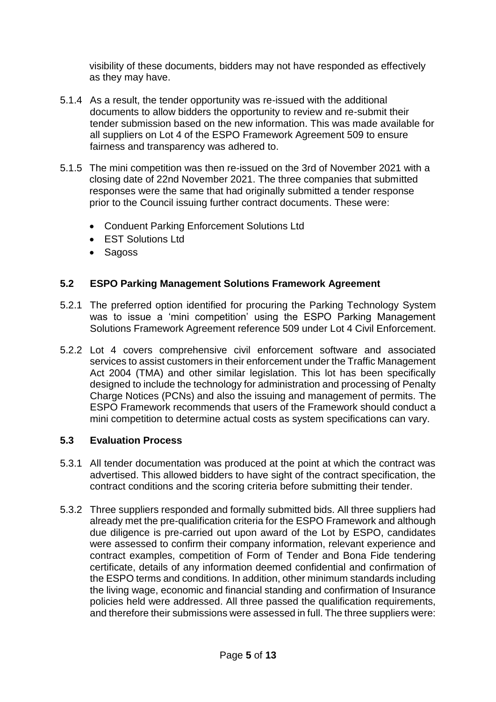visibility of these documents, bidders may not have responded as effectively as they may have.

- 5.1.4 As a result, the tender opportunity was re-issued with the additional documents to allow bidders the opportunity to review and re-submit their tender submission based on the new information. This was made available for all suppliers on Lot 4 of the ESPO Framework Agreement 509 to ensure fairness and transparency was adhered to.
- 5.1.5 The mini competition was then re-issued on the 3rd of November 2021 with a closing date of 22nd November 2021. The three companies that submitted responses were the same that had originally submitted a tender response prior to the Council issuing further contract documents. These were:
	- Conduent Parking Enforcement Solutions Ltd
	- EST Solutions Ltd
	- Sagoss

# **5.2 ESPO Parking Management Solutions Framework Agreement**

- 5.2.1 The preferred option identified for procuring the Parking Technology System was to issue a 'mini competition' using the ESPO Parking Management Solutions Framework Agreement reference 509 under Lot 4 Civil Enforcement.
- 5.2.2 Lot 4 covers comprehensive civil enforcement software and associated services to assist customers in their enforcement under the Traffic Management Act 2004 (TMA) and other similar legislation. This lot has been specifically designed to include the technology for administration and processing of Penalty Charge Notices (PCNs) and also the issuing and management of permits. The ESPO Framework recommends that users of the Framework should conduct a mini competition to determine actual costs as system specifications can vary.

## **5.3 Evaluation Process**

- 5.3.1 All tender documentation was produced at the point at which the contract was advertised. This allowed bidders to have sight of the contract specification, the contract conditions and the scoring criteria before submitting their tender.
- 5.3.2 Three suppliers responded and formally submitted bids. All three suppliers had already met the pre-qualification criteria for the ESPO Framework and although due diligence is pre-carried out upon award of the Lot by ESPO, candidates were assessed to confirm their company information, relevant experience and contract examples, competition of Form of Tender and Bona Fide tendering certificate, details of any information deemed confidential and confirmation of the ESPO terms and conditions. In addition, other minimum standards including the living wage, economic and financial standing and confirmation of Insurance policies held were addressed. All three passed the qualification requirements, and therefore their submissions were assessed in full. The three suppliers were: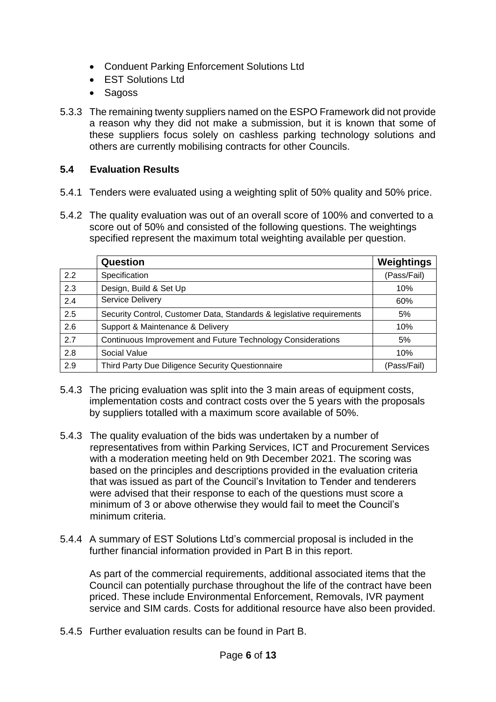- Conduent Parking Enforcement Solutions Ltd
- **EST Solutions Ltd**
- Sagoss
- 5.3.3 The remaining twenty suppliers named on the ESPO Framework did not provide a reason why they did not make a submission, but it is known that some of these suppliers focus solely on cashless parking technology solutions and others are currently mobilising contracts for other Councils.

# **5.4 Evaluation Results**

- 5.4.1 Tenders were evaluated using a weighting split of 50% quality and 50% price.
- 5.4.2 The quality evaluation was out of an overall score of 100% and converted to a score out of 50% and consisted of the following questions. The weightings specified represent the maximum total weighting available per question.

|     | Question                                                              | Weightings  |
|-----|-----------------------------------------------------------------------|-------------|
| 2.2 | Specification                                                         | (Pass/Fail) |
| 2.3 | Design, Build & Set Up                                                | 10%         |
| 2.4 | Service Delivery                                                      | 60%         |
| 2.5 | Security Control, Customer Data, Standards & legislative requirements | 5%          |
| 2.6 | Support & Maintenance & Delivery                                      | 10%         |
| 2.7 | Continuous Improvement and Future Technology Considerations           | 5%          |
| 2.8 | Social Value                                                          | 10%         |
| 2.9 | Third Party Due Diligence Security Questionnaire                      | (Pass/Fail) |

- 5.4.3 The pricing evaluation was split into the 3 main areas of equipment costs, implementation costs and contract costs over the 5 years with the proposals by suppliers totalled with a maximum score available of 50%.
- 5.4.3 The quality evaluation of the bids was undertaken by a number of representatives from within Parking Services, ICT and Procurement Services with a moderation meeting held on 9th December 2021. The scoring was based on the principles and descriptions provided in the evaluation criteria that was issued as part of the Council's Invitation to Tender and tenderers were advised that their response to each of the questions must score a minimum of 3 or above otherwise they would fail to meet the Council's minimum criteria.
- 5.4.4 A summary of EST Solutions Ltd's commercial proposal is included in the further financial information provided in Part B in this report.

As part of the commercial requirements, additional associated items that the Council can potentially purchase throughout the life of the contract have been priced. These include Environmental Enforcement, Removals, IVR payment service and SIM cards. Costs for additional resource have also been provided.

5.4.5 Further evaluation results can be found in Part B.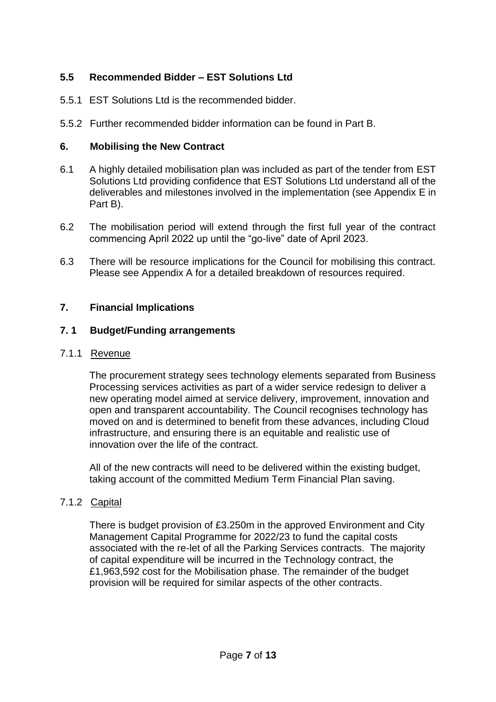# **5.5 Recommended Bidder – EST Solutions Ltd**

- 5.5.1 EST Solutions Ltd is the recommended bidder.
- 5.5.2 Further recommended bidder information can be found in Part B.

## **6. Mobilising the New Contract**

- 6.1 A highly detailed mobilisation plan was included as part of the tender from EST Solutions Ltd providing confidence that EST Solutions Ltd understand all of the deliverables and milestones involved in the implementation (see Appendix E in Part B).
- 6.2 The mobilisation period will extend through the first full year of the contract commencing April 2022 up until the "go-live" date of April 2023.
- 6.3 There will be resource implications for the Council for mobilising this contract. Please see Appendix A for a detailed breakdown of resources required.

#### **7. Financial Implications**

#### **7. 1 Budget/Funding arrangements**

#### 7.1.1 Revenue

The procurement strategy sees technology elements separated from Business Processing services activities as part of a wider service redesign to deliver a new operating model aimed at service delivery, improvement, innovation and open and transparent accountability. The Council recognises technology has moved on and is determined to benefit from these advances, including Cloud infrastructure, and ensuring there is an equitable and realistic use of innovation over the life of the contract.

All of the new contracts will need to be delivered within the existing budget, taking account of the committed Medium Term Financial Plan saving.

## 7.1.2 Capital

There is budget provision of £3.250m in the approved Environment and City Management Capital Programme for 2022/23 to fund the capital costs associated with the re-let of all the Parking Services contracts. The majority of capital expenditure will be incurred in the Technology contract, the £1,963,592 cost for the Mobilisation phase. The remainder of the budget provision will be required for similar aspects of the other contracts.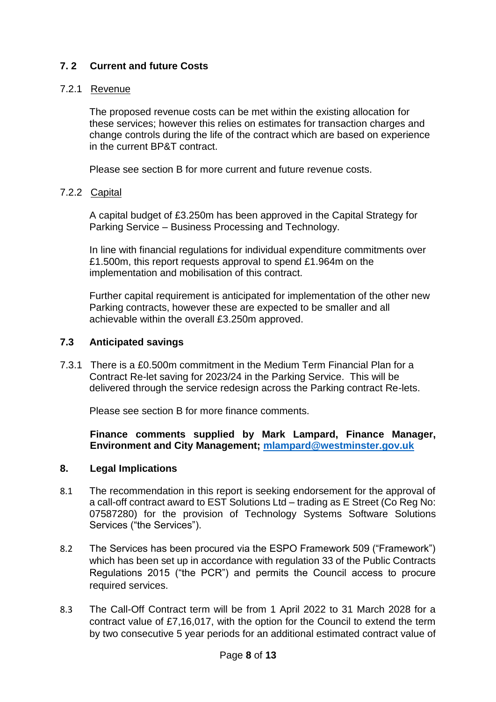## **7. 2 Current and future Costs**

## 7.2.1 Revenue

The proposed revenue costs can be met within the existing allocation for these services; however this relies on estimates for transaction charges and change controls during the life of the contract which are based on experience in the current BP&T contract.

Please see section B for more current and future revenue costs.

## 7.2.2 Capital

A capital budget of £3.250m has been approved in the Capital Strategy for Parking Service – Business Processing and Technology.

In line with financial regulations for individual expenditure commitments over £1.500m, this report requests approval to spend £1.964m on the implementation and mobilisation of this contract.

Further capital requirement is anticipated for implementation of the other new Parking contracts, however these are expected to be smaller and all achievable within the overall £3.250m approved.

## **7.3 Anticipated savings**

7.3.1 There is a £0.500m commitment in the Medium Term Financial Plan for a Contract Re-let saving for 2023/24 in the Parking Service. This will be delivered through the service redesign across the Parking contract Re-lets.

Please see section B for more finance comments.

**Finance comments supplied by Mark Lampard, Finance Manager, Environment and City Management; [mlampard@westminster.gov.uk](mailto:mlampard@westminster.gov.uk)**

#### **8. Legal Implications**

- 8.1 The recommendation in this report is seeking endorsement for the approval of a call-off contract award to EST Solutions Ltd – trading as E Street (Co Reg No: 07587280) for the provision of Technology Systems Software Solutions Services ("the Services").
- 8.2 The Services has been procured via the ESPO Framework 509 ("Framework") which has been set up in accordance with regulation 33 of the Public Contracts Regulations 2015 ("the PCR") and permits the Council access to procure required services.
- 8.3 The Call-Off Contract term will be from 1 April 2022 to 31 March 2028 for a contract value of £7,16,017, with the option for the Council to extend the term by two consecutive 5 year periods for an additional estimated contract value of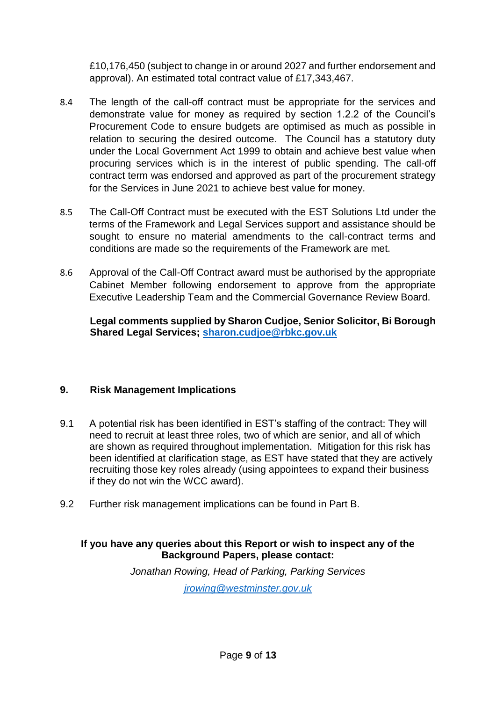£10,176,450 (subject to change in or around 2027 and further endorsement and approval). An estimated total contract value of £17,343,467.

- 8.4 The length of the call-off contract must be appropriate for the services and demonstrate value for money as required by section 1.2.2 of the Council's Procurement Code to ensure budgets are optimised as much as possible in relation to securing the desired outcome. The Council has a statutory duty under the Local Government Act 1999 to obtain and achieve best value when procuring services which is in the interest of public spending. The call-off contract term was endorsed and approved as part of the procurement strategy for the Services in June 2021 to achieve best value for money.
- 8.5 The Call-Off Contract must be executed with the EST Solutions Ltd under the terms of the Framework and Legal Services support and assistance should be sought to ensure no material amendments to the call-contract terms and conditions are made so the requirements of the Framework are met.
- 8.6 Approval of the Call-Off Contract award must be authorised by the appropriate Cabinet Member following endorsement to approve from the appropriate Executive Leadership Team and the Commercial Governance Review Board.

**Legal comments supplied by Sharon Cudjoe, Senior Solicitor, Bi Borough Shared Legal Services; [sharon.cudjoe@rbkc.gov.uk](mailto:sharon.cudjoe@rbkc.gov.uk)**

## **9. Risk Management Implications**

- 9.1 A potential risk has been identified in EST's staffing of the contract: They will need to recruit at least three roles, two of which are senior, and all of which are shown as required throughout implementation. Mitigation for this risk has been identified at clarification stage, as EST have stated that they are actively recruiting those key roles already (using appointees to expand their business if they do not win the WCC award).
- 9.2 Further risk management implications can be found in Part B.

# **If you have any queries about this Report or wish to inspect any of the Background Papers, please contact:**

*Jonathan Rowing, Head of Parking, Parking Services jrowin[g@westminster.gov.uk](mailto:dbudds@westminster.go.uk)*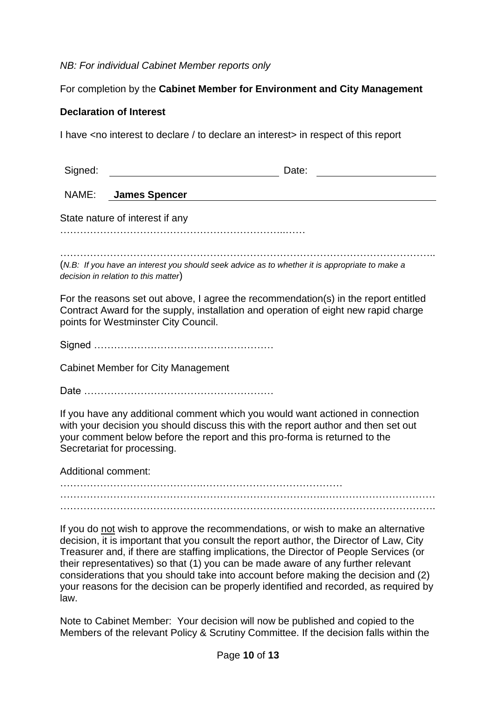#### *NB: For individual Cabinet Member reports only*

## For completion by the **Cabinet Member for Environment and City Management**

## **Declaration of Interest**

I have <no interest to declare / to declare an interest> in respect of this report

| Signed:                                                                                                                                                                                                                                                                                                                                                                                                                                                                                                                                            | Date:                |  |  |  |
|----------------------------------------------------------------------------------------------------------------------------------------------------------------------------------------------------------------------------------------------------------------------------------------------------------------------------------------------------------------------------------------------------------------------------------------------------------------------------------------------------------------------------------------------------|----------------------|--|--|--|
| NAME:                                                                                                                                                                                                                                                                                                                                                                                                                                                                                                                                              | <b>James Spencer</b> |  |  |  |
| State nature of interest if any                                                                                                                                                                                                                                                                                                                                                                                                                                                                                                                    |                      |  |  |  |
|                                                                                                                                                                                                                                                                                                                                                                                                                                                                                                                                                    |                      |  |  |  |
| (N.B: If you have an interest you should seek advice as to whether it is appropriate to make a<br>decision in relation to this matter)                                                                                                                                                                                                                                                                                                                                                                                                             |                      |  |  |  |
| For the reasons set out above, I agree the recommendation(s) in the report entitled<br>Contract Award for the supply, installation and operation of eight new rapid charge<br>points for Westminster City Council.                                                                                                                                                                                                                                                                                                                                 |                      |  |  |  |
|                                                                                                                                                                                                                                                                                                                                                                                                                                                                                                                                                    |                      |  |  |  |
| <b>Cabinet Member for City Management</b>                                                                                                                                                                                                                                                                                                                                                                                                                                                                                                          |                      |  |  |  |
|                                                                                                                                                                                                                                                                                                                                                                                                                                                                                                                                                    |                      |  |  |  |
| If you have any additional comment which you would want actioned in connection<br>with your decision you should discuss this with the report author and then set out<br>your comment below before the report and this pro-forma is returned to the<br>Secretariat for processing.                                                                                                                                                                                                                                                                  |                      |  |  |  |
| <b>Additional comment:</b>                                                                                                                                                                                                                                                                                                                                                                                                                                                                                                                         |                      |  |  |  |
|                                                                                                                                                                                                                                                                                                                                                                                                                                                                                                                                                    |                      |  |  |  |
| If you do not wish to approve the recommendations, or wish to make an alternative<br>decision, it is important that you consult the report author, the Director of Law, City<br>Treasurer and, if there are staffing implications, the Director of People Services (or<br>their representatives) so that (1) you can be made aware of any further relevant<br>considerations that you should take into account before making the decision and (2)<br>your reasons for the decision can be properly identified and recorded, as required by<br>law. |                      |  |  |  |

Note to Cabinet Member: Your decision will now be published and copied to the Members of the relevant Policy & Scrutiny Committee. If the decision falls within the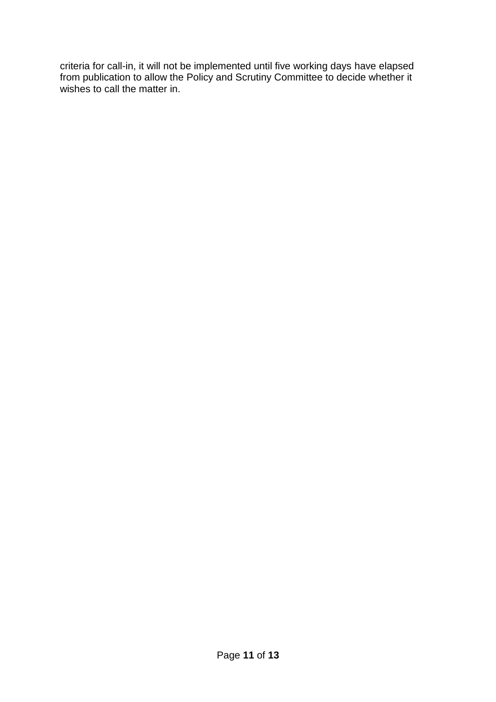criteria for call-in, it will not be implemented until five working days have elapsed from publication to allow the Policy and Scrutiny Committee to decide whether it wishes to call the matter in.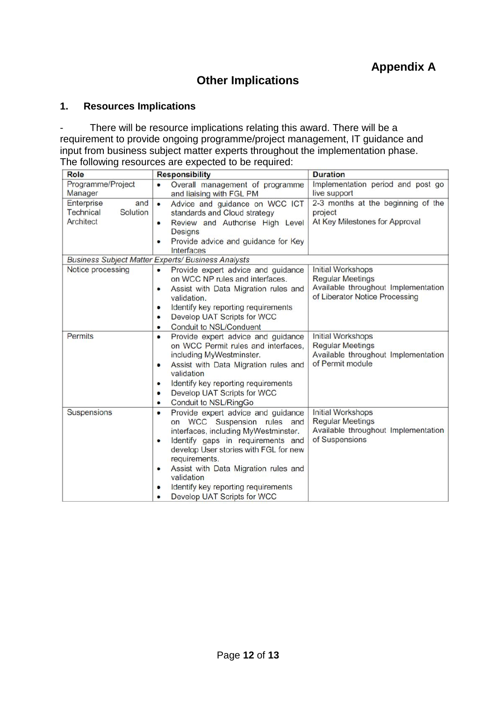# **Other Implications**

## **1. Resources Implications**

- There will be resource implications relating this award. There will be a requirement to provide ongoing programme/project management, IT guidance and input from business subject matter experts throughout the implementation phase. The following resources are expected to be required:

| <b>Role</b>                                                    | <b>Responsibility</b>                                                                                                                                                                                                                                                                                                                                            | <b>Duration</b>                                                                                                              |
|----------------------------------------------------------------|------------------------------------------------------------------------------------------------------------------------------------------------------------------------------------------------------------------------------------------------------------------------------------------------------------------------------------------------------------------|------------------------------------------------------------------------------------------------------------------------------|
| Programme/Project<br>Manager                                   | Overall management of programme<br>$\bullet$<br>and liaising with FGL PM                                                                                                                                                                                                                                                                                         | Implementation period and post go<br>live support                                                                            |
| Enterprise<br>and<br><b>Technical</b><br>Solution<br>Architect | Advice and guidance on WCC ICT<br>$\bullet$<br>standards and Cloud strategy<br>Review and Authorise High Level<br>$\bullet$<br><b>Designs</b><br>Provide advice and guidance for Key<br>٠<br>Interfaces                                                                                                                                                          | 2-3 months at the beginning of the<br>project<br>At Key Milestones for Approval                                              |
|                                                                | <b>Business Subject Matter Experts/ Business Analysts</b>                                                                                                                                                                                                                                                                                                        |                                                                                                                              |
| Notice processing                                              | Provide expert advice and guidance<br>$\bullet$<br>on WCC NP rules and interfaces.<br>Assist with Data Migration rules and<br>٠<br>validation.<br>Identify key reporting requirements<br>٠<br>Develop UAT Scripts for WCC<br>$\bullet$<br>Conduit to NSL/Conduent<br>$\bullet$                                                                                   | <b>Initial Workshops</b><br><b>Regular Meetings</b><br>Available throughout Implementation<br>of Liberator Notice Processing |
| Permits                                                        | Provide expert advice and guidance<br>٠<br>on WCC Permit rules and interfaces.<br>including MyWestminster.<br>Assist with Data Migration rules and<br>٠<br>validation<br>Identify key reporting requirements<br>٠<br>Develop UAT Scripts for WCC<br>$\bullet$<br>Conduit to NSL/RingGo<br>٠                                                                      | <b>Initial Workshops</b><br><b>Regular Meetings</b><br>Available throughout Implementation<br>of Permit module               |
| Suspensions                                                    | Provide expert advice and guidance<br>$\bullet$<br>on WCC Suspension rules and<br>interfaces, including MyWestminster.<br>Identify gaps in requirements and<br>٠<br>develop User stories with FGL for new<br>requirements.<br>Assist with Data Migration rules and<br>٠<br>validation<br>Identify key reporting requirements<br>Develop UAT Scripts for WCC<br>٠ | Initial Workshops<br><b>Regular Meetings</b><br>Available throughout Implementation<br>of Suspensions                        |